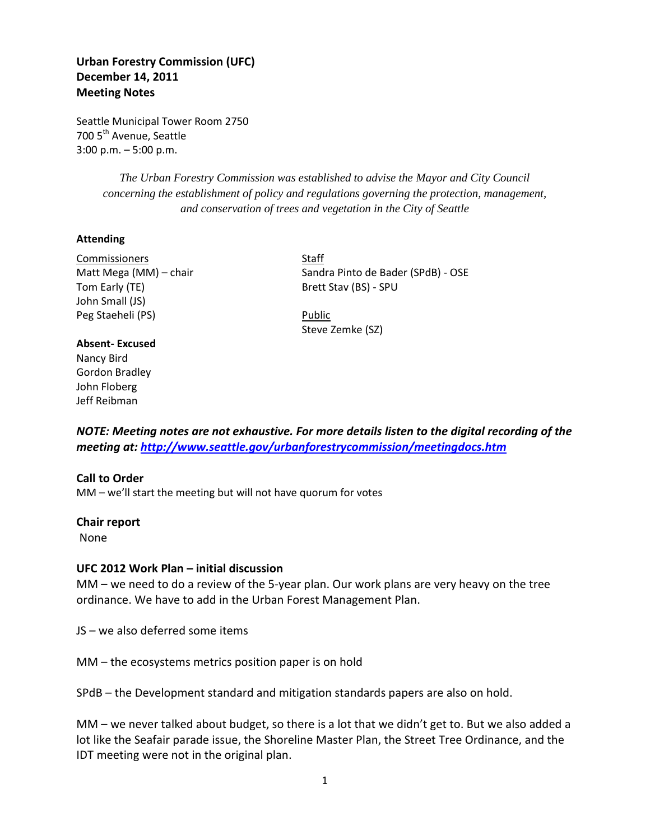# **Urban Forestry Commission (UFC) December 14, 2011 Meeting Notes**

Seattle Municipal Tower Room 2750 700 5<sup>th</sup> Avenue, Seattle 3:00 p.m. – 5:00 p.m.

> *The Urban Forestry Commission was established to advise the Mayor and City Council concerning the establishment of policy and regulations governing the protection, management, and conservation of trees and vegetation in the City of Seattle*

#### **Attending**

Commissioners Staff Tom Early (TE) Brett Stav (BS) - SPU John Small (JS) Peg Staeheli (PS) Public

#### **Absent- Excused**

Nancy Bird Gordon Bradley John Floberg Jeff Reibman

Matt Mega (MM) – chair Sandra Pinto de Bader (SPdB) - OSE

Steve Zemke (SZ)

*NOTE: Meeting notes are not exhaustive. For more details listen to the digital recording of the meeting at:<http://www.seattle.gov/urbanforestrycommission/meetingdocs.htm>*

#### **Call to Order**

MM – we'll start the meeting but will not have quorum for votes

**Chair report** None

#### **UFC 2012 Work Plan – initial discussion**

MM – we need to do a review of the 5-year plan. Our work plans are very heavy on the tree ordinance. We have to add in the Urban Forest Management Plan.

JS – we also deferred some items

MM – the ecosystems metrics position paper is on hold

SPdB – the Development standard and mitigation standards papers are also on hold.

MM – we never talked about budget, so there is a lot that we didn't get to. But we also added a lot like the Seafair parade issue, the Shoreline Master Plan, the Street Tree Ordinance, and the IDT meeting were not in the original plan.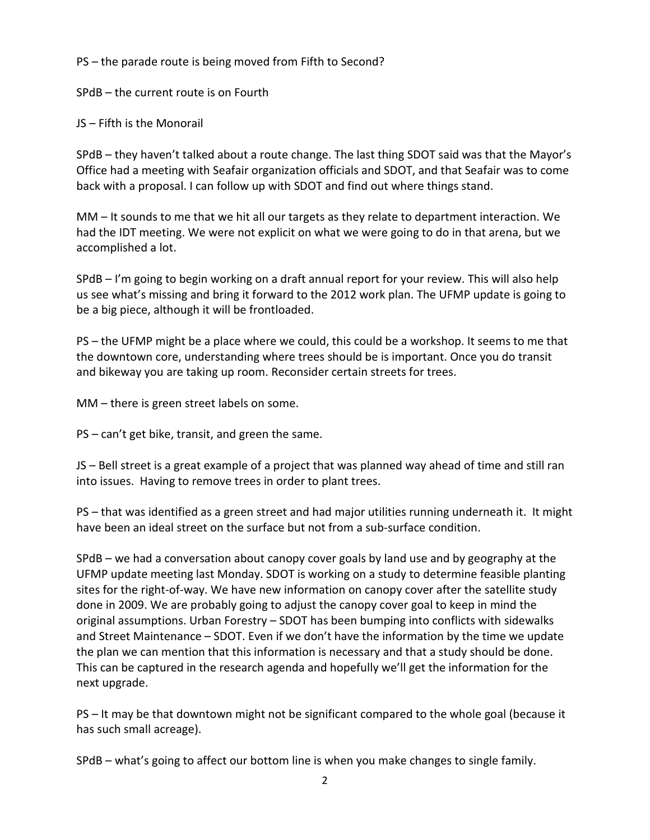PS – the parade route is being moved from Fifth to Second?

SPdB – the current route is on Fourth

JS – Fifth is the Monorail

SPdB – they haven't talked about a route change. The last thing SDOT said was that the Mayor's Office had a meeting with Seafair organization officials and SDOT, and that Seafair was to come back with a proposal. I can follow up with SDOT and find out where things stand.

MM – It sounds to me that we hit all our targets as they relate to department interaction. We had the IDT meeting. We were not explicit on what we were going to do in that arena, but we accomplished a lot.

SPdB – I'm going to begin working on a draft annual report for your review. This will also help us see what's missing and bring it forward to the 2012 work plan. The UFMP update is going to be a big piece, although it will be frontloaded.

PS – the UFMP might be a place where we could, this could be a workshop. It seems to me that the downtown core, understanding where trees should be is important. Once you do transit and bikeway you are taking up room. Reconsider certain streets for trees.

MM – there is green street labels on some.

PS – can't get bike, transit, and green the same.

JS – Bell street is a great example of a project that was planned way ahead of time and still ran into issues. Having to remove trees in order to plant trees.

PS – that was identified as a green street and had major utilities running underneath it. It might have been an ideal street on the surface but not from a sub-surface condition.

SPdB – we had a conversation about canopy cover goals by land use and by geography at the UFMP update meeting last Monday. SDOT is working on a study to determine feasible planting sites for the right-of-way. We have new information on canopy cover after the satellite study done in 2009. We are probably going to adjust the canopy cover goal to keep in mind the original assumptions. Urban Forestry – SDOT has been bumping into conflicts with sidewalks and Street Maintenance – SDOT. Even if we don't have the information by the time we update the plan we can mention that this information is necessary and that a study should be done. This can be captured in the research agenda and hopefully we'll get the information for the next upgrade.

PS – It may be that downtown might not be significant compared to the whole goal (because it has such small acreage).

SPdB – what's going to affect our bottom line is when you make changes to single family.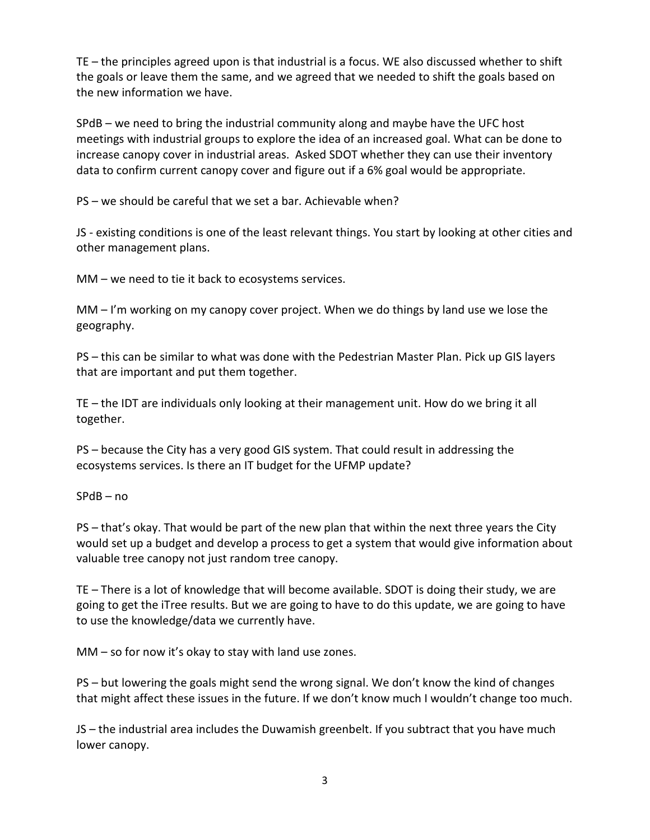TE – the principles agreed upon is that industrial is a focus. WE also discussed whether to shift the goals or leave them the same, and we agreed that we needed to shift the goals based on the new information we have.

SPdB – we need to bring the industrial community along and maybe have the UFC host meetings with industrial groups to explore the idea of an increased goal. What can be done to increase canopy cover in industrial areas. Asked SDOT whether they can use their inventory data to confirm current canopy cover and figure out if a 6% goal would be appropriate.

PS – we should be careful that we set a bar. Achievable when?

JS - existing conditions is one of the least relevant things. You start by looking at other cities and other management plans.

MM – we need to tie it back to ecosystems services.

MM – I'm working on my canopy cover project. When we do things by land use we lose the geography.

PS – this can be similar to what was done with the Pedestrian Master Plan. Pick up GIS layers that are important and put them together.

TE – the IDT are individuals only looking at their management unit. How do we bring it all together.

PS – because the City has a very good GIS system. That could result in addressing the ecosystems services. Is there an IT budget for the UFMP update?

SPdB – no

PS – that's okay. That would be part of the new plan that within the next three years the City would set up a budget and develop a process to get a system that would give information about valuable tree canopy not just random tree canopy.

TE – There is a lot of knowledge that will become available. SDOT is doing their study, we are going to get the iTree results. But we are going to have to do this update, we are going to have to use the knowledge/data we currently have.

MM – so for now it's okay to stay with land use zones.

PS – but lowering the goals might send the wrong signal. We don't know the kind of changes that might affect these issues in the future. If we don't know much I wouldn't change too much.

JS – the industrial area includes the Duwamish greenbelt. If you subtract that you have much lower canopy.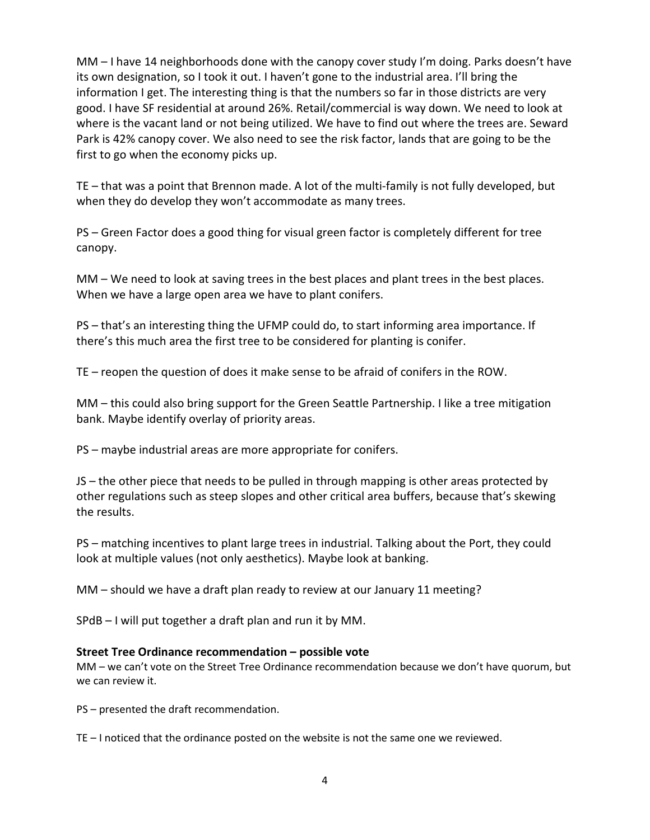MM – I have 14 neighborhoods done with the canopy cover study I'm doing. Parks doesn't have its own designation, so I took it out. I haven't gone to the industrial area. I'll bring the information I get. The interesting thing is that the numbers so far in those districts are very good. I have SF residential at around 26%. Retail/commercial is way down. We need to look at where is the vacant land or not being utilized. We have to find out where the trees are. Seward Park is 42% canopy cover. We also need to see the risk factor, lands that are going to be the first to go when the economy picks up.

TE – that was a point that Brennon made. A lot of the multi-family is not fully developed, but when they do develop they won't accommodate as many trees.

PS – Green Factor does a good thing for visual green factor is completely different for tree canopy.

MM – We need to look at saving trees in the best places and plant trees in the best places. When we have a large open area we have to plant conifers.

PS – that's an interesting thing the UFMP could do, to start informing area importance. If there's this much area the first tree to be considered for planting is conifer.

TE – reopen the question of does it make sense to be afraid of conifers in the ROW.

MM – this could also bring support for the Green Seattle Partnership. I like a tree mitigation bank. Maybe identify overlay of priority areas.

PS – maybe industrial areas are more appropriate for conifers.

JS – the other piece that needs to be pulled in through mapping is other areas protected by other regulations such as steep slopes and other critical area buffers, because that's skewing the results.

PS – matching incentives to plant large trees in industrial. Talking about the Port, they could look at multiple values (not only aesthetics). Maybe look at banking.

MM – should we have a draft plan ready to review at our January 11 meeting?

SPdB – I will put together a draft plan and run it by MM.

### **Street Tree Ordinance recommendation – possible vote**

MM – we can't vote on the Street Tree Ordinance recommendation because we don't have quorum, but we can review it.

PS – presented the draft recommendation.

TE – I noticed that the ordinance posted on the website is not the same one we reviewed.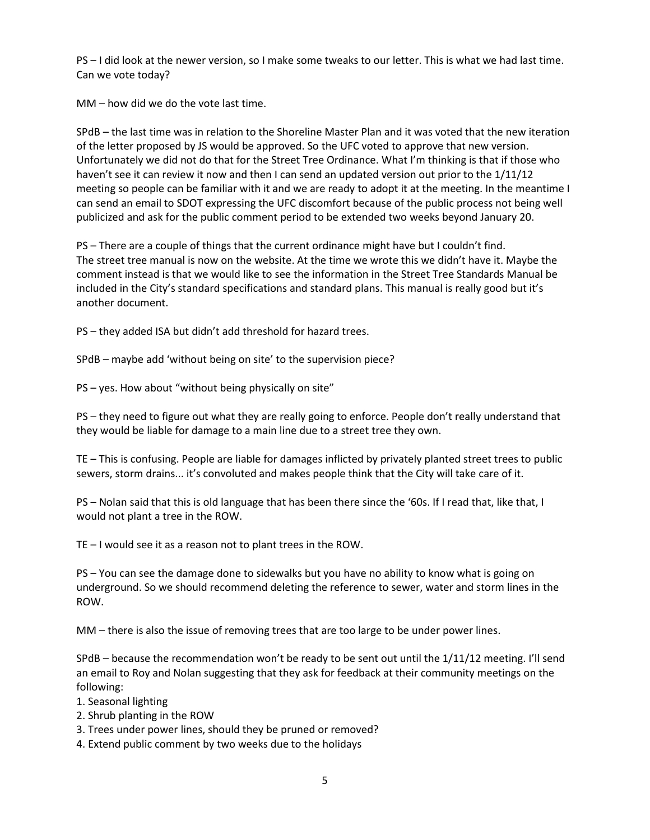PS – I did look at the newer version, so I make some tweaks to our letter. This is what we had last time. Can we vote today?

MM – how did we do the vote last time.

SPdB – the last time was in relation to the Shoreline Master Plan and it was voted that the new iteration of the letter proposed by JS would be approved. So the UFC voted to approve that new version. Unfortunately we did not do that for the Street Tree Ordinance. What I'm thinking is that if those who haven't see it can review it now and then I can send an updated version out prior to the 1/11/12 meeting so people can be familiar with it and we are ready to adopt it at the meeting. In the meantime I can send an email to SDOT expressing the UFC discomfort because of the public process not being well publicized and ask for the public comment period to be extended two weeks beyond January 20.

PS – There are a couple of things that the current ordinance might have but I couldn't find. The street tree manual is now on the website. At the time we wrote this we didn't have it. Maybe the comment instead is that we would like to see the information in the Street Tree Standards Manual be included in the City's standard specifications and standard plans. This manual is really good but it's another document.

PS – they added ISA but didn't add threshold for hazard trees.

SPdB – maybe add 'without being on site' to the supervision piece?

PS – yes. How about "without being physically on site"

PS – they need to figure out what they are really going to enforce. People don't really understand that they would be liable for damage to a main line due to a street tree they own.

TE – This is confusing. People are liable for damages inflicted by privately planted street trees to public sewers, storm drains... it's convoluted and makes people think that the City will take care of it.

PS – Nolan said that this is old language that has been there since the '60s. If I read that, like that, I would not plant a tree in the ROW.

TE – I would see it as a reason not to plant trees in the ROW.

PS – You can see the damage done to sidewalks but you have no ability to know what is going on underground. So we should recommend deleting the reference to sewer, water and storm lines in the ROW.

MM – there is also the issue of removing trees that are too large to be under power lines.

SPdB – because the recommendation won't be ready to be sent out until the 1/11/12 meeting. I'll send an email to Roy and Nolan suggesting that they ask for feedback at their community meetings on the following:

- 1. Seasonal lighting
- 2. Shrub planting in the ROW
- 3. Trees under power lines, should they be pruned or removed?
- 4. Extend public comment by two weeks due to the holidays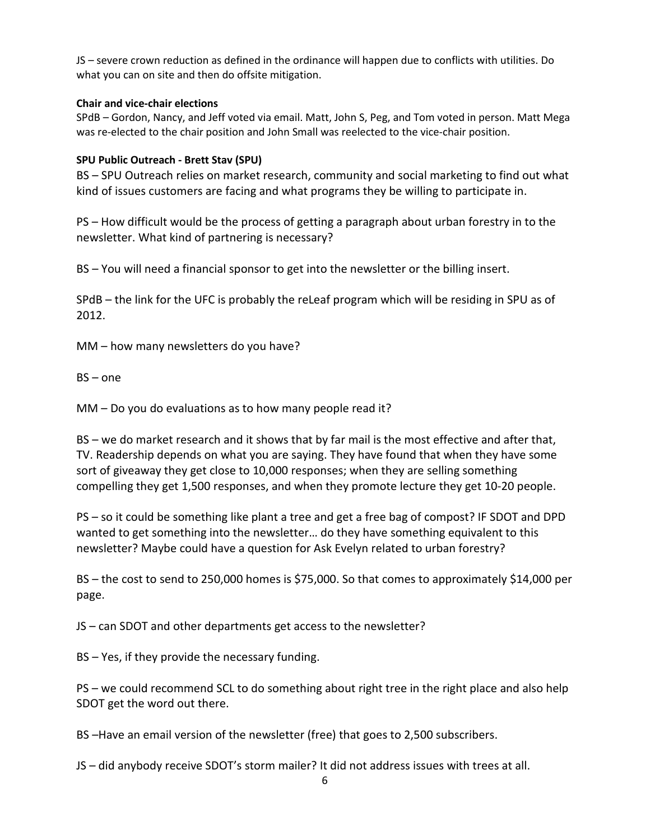JS – severe crown reduction as defined in the ordinance will happen due to conflicts with utilities. Do what you can on site and then do offsite mitigation.

### **Chair and vice-chair elections**

SPdB – Gordon, Nancy, and Jeff voted via email. Matt, John S, Peg, and Tom voted in person. Matt Mega was re-elected to the chair position and John Small was reelected to the vice-chair position.

### **SPU Public Outreach - Brett Stav (SPU)**

BS – SPU Outreach relies on market research, community and social marketing to find out what kind of issues customers are facing and what programs they be willing to participate in.

PS – How difficult would be the process of getting a paragraph about urban forestry in to the newsletter. What kind of partnering is necessary?

BS – You will need a financial sponsor to get into the newsletter or the billing insert.

SPdB – the link for the UFC is probably the reLeaf program which will be residing in SPU as of 2012.

MM – how many newsletters do you have?

BS – one

MM – Do you do evaluations as to how many people read it?

BS – we do market research and it shows that by far mail is the most effective and after that, TV. Readership depends on what you are saying. They have found that when they have some sort of giveaway they get close to 10,000 responses; when they are selling something compelling they get 1,500 responses, and when they promote lecture they get 10-20 people.

PS – so it could be something like plant a tree and get a free bag of compost? IF SDOT and DPD wanted to get something into the newsletter… do they have something equivalent to this newsletter? Maybe could have a question for Ask Evelyn related to urban forestry?

BS – the cost to send to 250,000 homes is \$75,000. So that comes to approximately \$14,000 per page.

JS – can SDOT and other departments get access to the newsletter?

BS – Yes, if they provide the necessary funding.

PS – we could recommend SCL to do something about right tree in the right place and also help SDOT get the word out there.

BS –Have an email version of the newsletter (free) that goes to 2,500 subscribers.

JS – did anybody receive SDOT's storm mailer? It did not address issues with trees at all.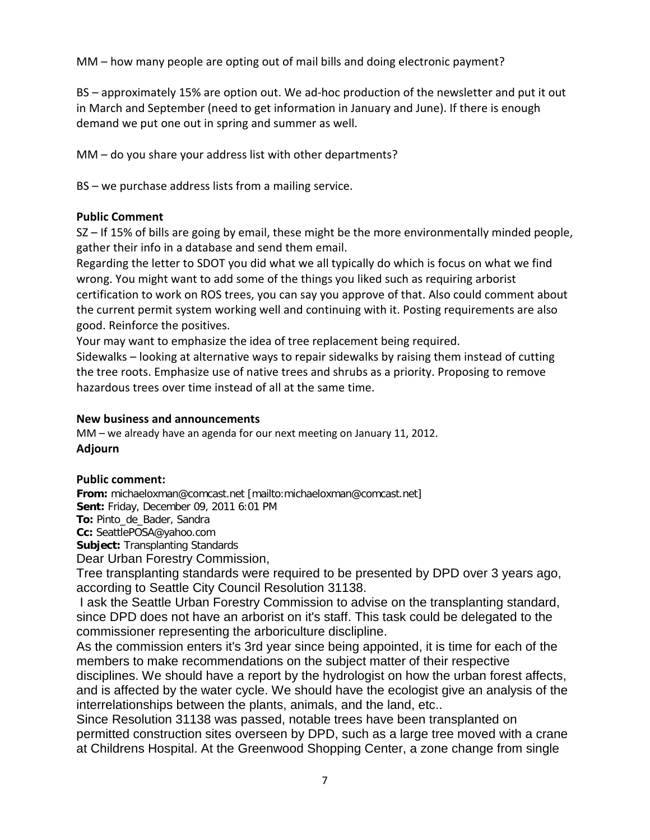MM – how many people are opting out of mail bills and doing electronic payment?

BS – approximately 15% are option out. We ad-hoc production of the newsletter and put it out in March and September (need to get information in January and June). If there is enough demand we put one out in spring and summer as well.

MM – do you share your address list with other departments?

BS – we purchase address lists from a mailing service.

# **Public Comment**

SZ – If 15% of bills are going by email, these might be the more environmentally minded people, gather their info in a database and send them email.

Regarding the letter to SDOT you did what we all typically do which is focus on what we find wrong. You might want to add some of the things you liked such as requiring arborist certification to work on ROS trees, you can say you approve of that. Also could comment about the current permit system working well and continuing with it. Posting requirements are also good. Reinforce the positives.

Your may want to emphasize the idea of tree replacement being required.

Sidewalks – looking at alternative ways to repair sidewalks by raising them instead of cutting the tree roots. Emphasize use of native trees and shrubs as a priority. Proposing to remove hazardous trees over time instead of all at the same time.

# **New business and announcements**

MM – we already have an agenda for our next meeting on January 11, 2012. **Adjourn**

# **Public comment:**

**From:** michaeloxman@comcast.net [mailto:michaeloxman@comcast.net] **Sent:** Friday, December 09, 2011 6:01 PM **To:** Pinto\_de\_Bader, Sandra

**Cc:** SeattlePOSA@yahoo.com

**Subject:** Transplanting Standards

Dear Urban Forestry Commission,

Tree transplanting standards were required to be presented by DPD over 3 years ago, according to Seattle City Council Resolution 31138.

I ask the Seattle Urban Forestry Commission to advise on the transplanting standard, since DPD does not have an arborist on it's staff. This task could be delegated to the commissioner representing the arboriculture disclipline.

As the commission enters it's 3rd year since being appointed, it is time for each of the members to make recommendations on the subject matter of their respective disciplines. We should have a report by the hydrologist on how the urban forest affects, and is affected by the water cycle. We should have the ecologist give an analysis of the interrelationships between the plants, animals, and the land, etc..

Since Resolution 31138 was passed, notable trees have been transplanted on permitted construction sites overseen by DPD, such as a large tree moved with a crane at Childrens Hospital. At the Greenwood Shopping Center, a zone change from single